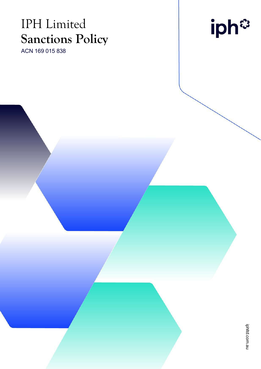# IPH Limited **Sanctions Policy**

ACN 169 015 838

iph<sup>®</sup>

iphitd.com.au iphltd.com.au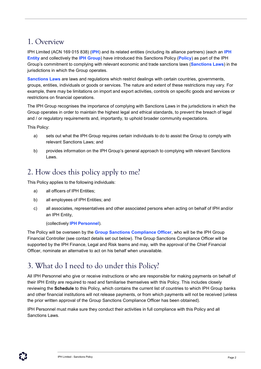#### 1. Overview

IPH Limited (ACN 169 015 838) (**IPH**) and its related entities (including its alliance partners) (each an **IPH Entity** and collectively the **IPH Group**) have introduced this Sanctions Policy (**Policy**) as part of the IPH Group's commitment to complying with relevant economic and trade sanctions laws (**Sanctions Laws**) in the jurisdictions in which the Group operates.

**Sanctions Laws** are laws and regulations which restrict dealings with certain countries, governments, groups, entities, individuals or goods or services. The nature and extent of these restrictions may vary. For example, there may be limitations on import and export activities, controls on specific goods and services or restrictions on financial operations.

The IPH Group recognises the importance of complying with Sanctions Laws in the jurisdictions in which the Group operates in order to maintain the highest legal and ethical standards, to prevent the breach of legal and / or regulatory requirements and, importantly, to uphold broader community expectations.

This Policy:

- a) sets out what the IPH Group requires certain individuals to do to assist the Group to comply with relevant Sanctions Laws; and
- b) provides information on the IPH Group's general approach to complying with relevant Sanctions Laws.

#### 2. How does this policy apply to me?

This Policy applies to the following individuals:

- a) all officers of IPH Entities;
- b) all employees of IPH Entities; and
- c) all associates, representatives and other associated persons when acting on behalf of IPH and/or an IPH Entity,

(collectively **IPH Personnel**).

The Policy will be overseen by the **Group Sanctions Compliance Officer**, who will be the IPH Group Financial Controller (see contact details set out below). The Group Sanctions Compliance Officer will be supported by the IPH Finance, Legal and Risk teams and may, with the approval of the Chief Financial Officer, nominate an alternative to act on his behalf when unavailable.

#### 3. What do I need to do under this Policy?

All IPH Personnel who give or receive instructions or who are responsible for making payments on behalf of their IPH Entity are required to read and familiarise themselves with this Policy. This includes closely reviewing the **Schedule** to this Policy, which contains the current list of countries to which IPH Group banks and other financial institutions will not release payments, or from which payments will not be received (unless the prior written approval of the Group Sanctions Compliance Officer has been obtained).

IPH Personnel must make sure they conduct their activities in full compliance with this Policy and all Sanctions Laws.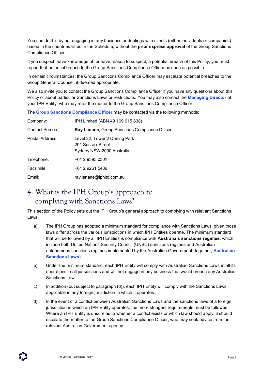You can do this by not engaging in any business or dealings with clients (either individuals or companies) based in the countries listed in the Schedule, without the **prior express approval** of the Group Sanctions Compliance Officer.

If you suspect, have knowledge of, or have reason to suspect, a potential breach of this Policy, you must report that potential breach to the Group Sanctions Compliance Officer as soon as possible.

In certain circumstances, the Group Sanctions Compliance Officer may escalate potential breaches to the Group General Counsel, if deemed appropriate.

We also invite you to contact the Group Sanctions Compliance Officer if you have any questions about this Policy or about particular Sanctions Laws or restrictions. You may also contact the **Managing Director** of your IPH Entity, who may refer the matter to the Group Sanctions Compliance Officer.

The **Group Sanctions Compliance Officer** may be contacted via the following methods:

| Company:        | IPH Limited (ABN 49 169 015 838)                                                 |  |
|-----------------|----------------------------------------------------------------------------------|--|
| Contact Person: | <b>Ray Lenane, Group Sanctions Compliance Officer</b>                            |  |
| Postal Address: | Level 22, Tower 2 Darling Park<br>201 Sussex Street<br>Sydney NSW 2000 Australia |  |
| Telephone:      | +61 2 9393 0301                                                                  |  |
| Facsimile:      | +61 2 9261 5486                                                                  |  |
| Email:          | ray.lenane@iphltd.com.au                                                         |  |

#### 4. What is the IPH Group's approach to complying with Sanctions Laws?

This section of the Policy sets out the IPH Group's general approach to complying with relevant Sanctions Laws.

- a) The IPH Group has adopted a minimum standard for compliance with Sanctions Laws, given those laws differ across the various jurisdictions in which IPH Entities operate. The minimum standard that will be followed by all IPH Entities is compliance with **Australia's sanctions regimes**, which include both United Nations Security Council (UNSC) sanctions regimes and Australian autonomous sanctions regimes implemented by the Australian Government (together, **Australian Sanctions Laws**).
- b) Under the minimum standard, each IPH Entity will comply with Australian Sanctions Laws in all its operations in all jurisdictions and will not engage in any business that would breach any Australian Sanctions Law.
- c) In addition (but subject to paragraph (d)), each IPH Entity will comply with the Sanctions Laws applicable in any foreign jurisdiction in which it operates.
- d) In the event of a conflict between Australian Sanctions Laws and the sanctions laws of a foreign jurisdiction in which an IPH Entity operates, the more stringent requirements must be followed. Where an IPH Entity is unsure as to whether a conflict exists or which law should apply, it should escalate the matter to the Group Sanctions Compliance Officer, who may seek advice from the relevant Australian Government agency.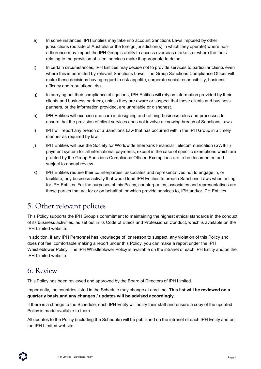- e) In some instances, IPH Entities may take into account Sanctions Laws imposed by other jurisdictions (outside of Australia or the foreign jurisdiction(s) in which they operate) where nonadherence may impact the IPH Group's ability to access overseas markets or where the facts relating to the provision of client services make it appropriate to do so.
- f) In certain circumstances, IPH Entities may decide not to provide services to particular clients even where this is permitted by relevant Sanctions Laws. The Group Sanctions Compliance Officer will make these decisions having regard to risk appetite, corporate social responsibility, business efficacy and reputational risk.
- g) In carrying out their compliance obligations, IPH Entities will rely on information provided by their clients and business partners, unless they are aware or suspect that those clients and business partners, or the information provided, are unreliable or dishonest.
- h) IPH Entities will exercise due care in designing and refining business rules and processes to ensure that the provision of client services does not involve a knowing breach of Sanctions Laws.
- i) IPH will report any breach of a Sanctions Law that has occurred within the IPH Group in a timely manner as required by law.
- j) IPH Entities will use the Society for Worldwide Interbank Financial Telecommunication (SWIFT) payment system for all international payments, except in the case of specific exemptions which are granted by the Group Sanctions Compliance Officer. Exemptions are to be documented and subject to annual review.
- k) IPH Entities require their counterparties, associates and representatives not to engage in, or facilitate, any business activity that would lead IPH Entities to breach Sanctions Laws when acting for IPH Entities. For the purposes of this Policy, counterparties, associates and representatives are those parties that act for or on behalf of, or which provide services to, IPH and/or IPH Entities.

### 5. Other relevant policies

This Policy supports the IPH Group's commitment to maintaining the highest ethical standards in the conduct of its business activities, as set out in its Code of Ethics and Professional Conduct, which is available on the IPH Limited website.

In addition, if any IPH Personnel has knowledge of, or reason to suspect, any violation of this Policy and does not feel comfortable making a report under this Policy, you can make a report under the IPH Whistleblower Policy. The IPH Whistleblower Policy is available on the intranet of each IPH Entity and on the IPH Limited website.

#### 6. Review

This Policy has been reviewed and approved by the Board of Directors of IPH Limited.

Importantly, the countries listed in the Schedule may change at any time. **This list will be reviewed on a quarterly basis and any changes / updates will be advised accordingly.**

If there is a change to the Schedule, each IPH Entity will notify their staff and ensure a copy of the updated Policy is made available to them.

All updates to the Policy (including the Schedule) will be published on the intranet of each IPH Entity and on the IPH Limited website.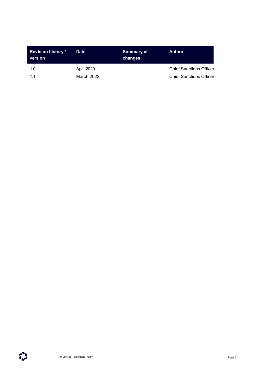| <b>Revision history /</b><br>version | <b>Date</b> | <b>Summary of</b><br>changes | <b>Author</b>                  |
|--------------------------------------|-------------|------------------------------|--------------------------------|
| 1.0                                  | April 2020  |                              | <b>Chief Sanctions Officer</b> |
| $11$                                 | March 2022  |                              | <b>Chief Sanctions Officer</b> |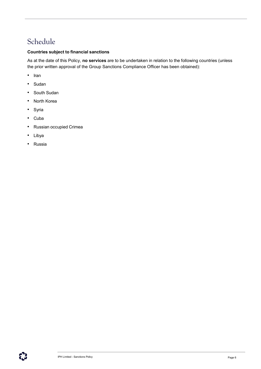## Schedule

#### **Countries subject to financial sanctions**

As at the date of this Policy, **no services** are to be undertaken in relation to the following countries (unless the prior written approval of the Group Sanctions Compliance Officer has been obtained):

- Iran
- Sudan
- South Sudan
- North Korea
- Syria
- Cuba
- Russian occupied Crimea
- Libya
- Russia